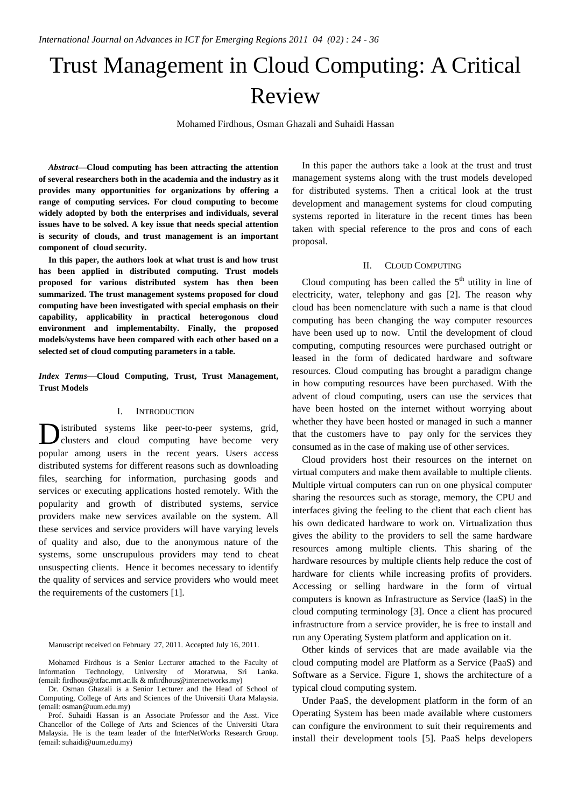Mohamed Firdhous, Osman Ghazali and Suhaidi Hassan

*Abstract***—Cloud computing has been attracting the attention of several researchers both in the academia and the industry as it provides many opportunities for organizations by offering a range of computing services. For cloud computing to become widely adopted by both the enterprises and individuals, several issues have to be solved. A key issue that needs special attention is security of clouds, and trust management is an important component of cloud security.**

**In this paper, the authors look at what trust is and how trust has been applied in distributed computing. Trust models proposed for various distributed system has then been summarized. The trust management systems proposed for cloud computing have been investigated with special emphasis on their capability, applicability in practical heterogonous cloud environment and implementabilty. Finally, the proposed models/systems have been compared with each other based on a selected set of cloud computing parameters in a table.** 

*Index Terms*—**Cloud Computing, Trust, Trust Management, Trust Models**

## I. INTRODUCTION

istributed systems like peer-to-peer systems, grid, clusters and cloud computing have become very popular among users in the recent years. Users access distributed systems for different reasons such as downloading files, searching for information, purchasing goods and services or executing applications hosted remotely. With the popularity and growth of distributed systems, service providers make new services available on the system. All these services and service providers will have varying levels of quality and also, due to the anonymous nature of the systems, some unscrupulous providers may tend to cheat unsuspecting clients. Hence it becomes necessary to identify the quality of services and service providers who would meet the requirements of the customers [1]. D

Manuscript received on February 27, 2011. Accepted July 16, 2011.

Mohamed Firdhous is a Senior Lecturer attached to the Faculty of Information Technology, University of Moratwua, Sri Lanka. (email: firdhous@itfac.mrt.ac.lk & mfirdhous@internetworks.my)

Dr. Osman Ghazali is a Senior Lecturer and the Head of School of Computing, College of Arts and Sciences of the Universiti Utara Malaysia. (email: osman@uum.edu.my)

Prof. Suhaidi Hassan is an Associate Professor and the Asst. Vice Chancellor of the College of Arts and Sciences of the Universiti Utara Malaysia. He is the team leader of the InterNetWorks Research Group. (email: suhaidi@uum.edu.my)

In this paper the authors take a look at the trust and trust management systems along with the trust models developed for distributed systems. Then a critical look at the trust development and management systems for cloud computing systems reported in literature in the recent times has been taken with special reference to the pros and cons of each proposal.

#### II. CLOUD COMPUTING

Cloud computing has been called the  $5<sup>th</sup>$  utility in line of electricity, water, telephony and gas [2]. The reason why cloud has been nomenclature with such a name is that cloud computing has been changing the way computer resources have been used up to now. Until the development of cloud computing, computing resources were purchased outright or leased in the form of dedicated hardware and software resources. Cloud computing has brought a paradigm change in how computing resources have been purchased. With the advent of cloud computing, users can use the services that have been hosted on the internet without worrying about whether they have been hosted or managed in such a manner that the customers have to pay only for the services they consumed as in the case of making use of other services.

Cloud providers host their resources on the internet on virtual computers and make them available to multiple clients. Multiple virtual computers can run on one physical computer sharing the resources such as storage, memory, the CPU and interfaces giving the feeling to the client that each client has his own dedicated hardware to work on. Virtualization thus gives the ability to the providers to sell the same hardware resources among multiple clients. This sharing of the hardware resources by multiple clients help reduce the cost of hardware for clients while increasing profits of providers. Accessing or selling hardware in the form of virtual computers is known as Infrastructure as Service (IaaS) in the cloud computing terminology [3]. Once a client has procured infrastructure from a service provider, he is free to install and run any Operating System platform and application on it.

Other kinds of services that are made available via the cloud computing model are Platform as a Service (PaaS) and Software as a Service. Figure 1, shows the architecture of a typical cloud computing system.

Under PaaS, the development platform in the form of an Operating System has been made available where customers can configure the environment to suit their requirements and install their development tools [5]. PaaS helps developers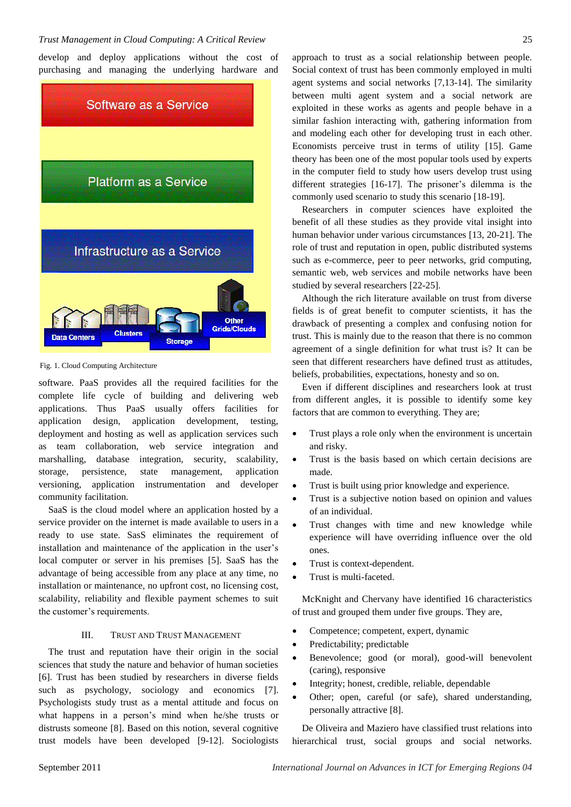develop and deploy applications without the cost of purchasing and managing the underlying hardware and



#### Fig. 1. Cloud Computing Architecture

software. PaaS provides all the required facilities for the complete life cycle of building and delivering web applications. Thus PaaS usually offers facilities for application design, application development, testing, deployment and hosting as well as application services such as team collaboration, web service integration and marshalling, database integration, security, scalability, storage, persistence, state management, application versioning, application instrumentation and developer community facilitation.

SaaS is the cloud model where an application hosted by a service provider on the internet is made available to users in a ready to use state. SasS eliminates the requirement of installation and maintenance of the application in the user's local computer or server in his premises [5]. SaaS has the advantage of being accessible from any place at any time, no installation or maintenance, no upfront cost, no licensing cost, scalability, reliability and flexible payment schemes to suit the customer's requirements.

## III. TRUST AND TRUST MANAGEMENT

The trust and reputation have their origin in the social sciences that study the nature and behavior of human societies [6]. Trust has been studied by researchers in diverse fields such as psychology, sociology and economics [7]. Psychologists study trust as a mental attitude and focus on what happens in a person's mind when he/she trusts or distrusts someone [8]. Based on this notion, several cognitive trust models have been developed [9-12]. Sociologists

approach to trust as a social relationship between people. Social context of trust has been commonly employed in multi agent systems and social networks [7,13-14]. The similarity between multi agent system and a social network are exploited in these works as agents and people behave in a similar fashion interacting with, gathering information from and modeling each other for developing trust in each other. Economists perceive trust in terms of utility [15]. Game theory has been one of the most popular tools used by experts in the computer field to study how users develop trust using different strategies [16-17]. The prisoner's dilemma is the commonly used scenario to study this scenario [18-19].

Researchers in computer sciences have exploited the benefit of all these studies as they provide vital insight into human behavior under various circumstances [13, 20-21]. The role of trust and reputation in open, public distributed systems such as e-commerce, peer to peer networks, grid computing, semantic web, web services and mobile networks have been studied by several researchers [22-25].

Although the rich literature available on trust from diverse fields is of great benefit to computer scientists, it has the drawback of presenting a complex and confusing notion for trust. This is mainly due to the reason that there is no common agreement of a single definition for what trust is? It can be seen that different researchers have defined trust as attitudes, beliefs, probabilities, expectations, honesty and so on.

Even if different disciplines and researchers look at trust from different angles, it is possible to identify some key factors that are common to everything. They are;

- Trust plays a role only when the environment is uncertain and risky.
- Trust is the basis based on which certain decisions are made.
- Trust is built using prior knowledge and experience.
- Trust is a subjective notion based on opinion and values of an individual.
- Trust changes with time and new knowledge while experience will have overriding influence over the old ones.
- Trust is context-dependent.
- Trust is multi-faceted.

McKnight and Chervany have identified 16 characteristics of trust and grouped them under five groups. They are,

- Competence; competent, expert, dynamic
- Predictability; predictable
- Benevolence; good (or moral), good-will benevolent (caring), responsive
- Integrity; honest, credible, reliable, dependable
- Other; open, careful (or safe), shared understanding, personally attractive [8].

De Oliveira and Maziero have classified trust relations into hierarchical trust, social groups and social networks.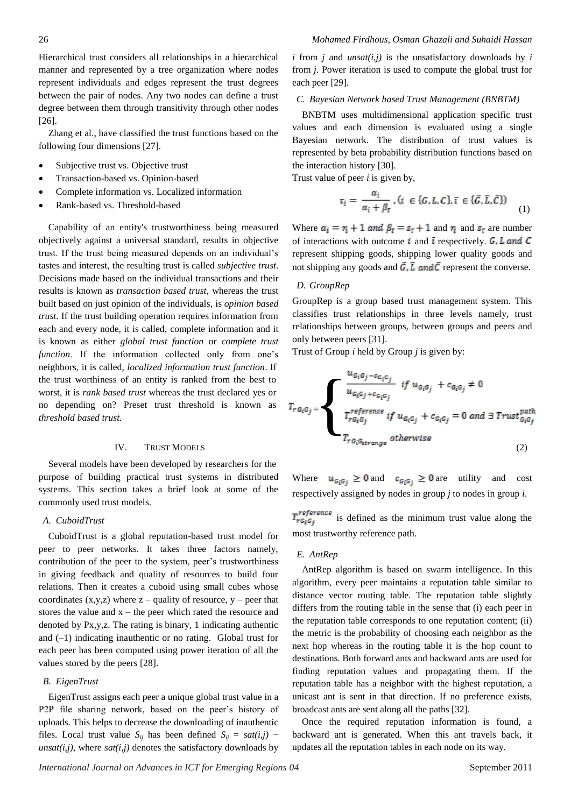Hierarchical trust considers all relationships in a hierarchical manner and represented by a tree organization where nodes represent individuals and edges represent the trust degrees between the pair of nodes. Any two nodes can define a trust degree between them through transitivity through other nodes [26].

Zhang et al., have classified the trust functions based on the following four dimensions [27].

- Subjective trust vs. Objective trust
- Transaction-based vs. Opinion-based
- Complete information vs. Localized information
- Rank-based vs. Threshold-based

Capability of an entity's trustworthiness being measured objectively against a universal standard, results in objective trust. If the trust being measured depends on an individual's tastes and interest, the resulting trust is called *subjective trust*. Decisions made based on the individual transactions and their results is known as *transaction based trust*, whereas the trust built based on just opinion of the individuals, is *opinion based trust*. If the trust building operation requires information from each and every node, it is called, complete information and it is known as either *global trust function* or *complete trust function*. If the information collected only from one's neighbors, it is called, *localized information trust function*. If the trust worthiness of an entity is ranked from the best to worst, it is *rank based trust* whereas the trust declared yes or no depending on? Preset trust threshold is known as *threshold based trust.* 

## IV. TRUST MODELS

Several models have been developed by researchers for the purpose of building practical trust systems in distributed systems. This section takes a brief look at some of the commonly used trust models.

## *A. CuboidTrust*

CuboidTrust is a global reputation-based trust model for peer to peer networks. It takes three factors namely, contribution of the peer to the system, peer's trustworthiness in giving feedback and quality of resources to build four relations. Then it creates a cuboid using small cubes whose coordinates  $(x,y,z)$  where  $z$  – quality of resource,  $y$  – peer that stores the value and  $x -$  the peer which rated the resource and denoted by Px,y,z. The rating is binary, 1 indicating authentic and (–1) indicating inauthentic or no rating. Global trust for each peer has been computed using power iteration of all the values stored by the peers [28].

#### *B. EigenTrust*

EigenTrust assigns each peer a unique global trust value in a P2P file sharing network, based on the peer's history of uploads. This helps to decrease the downloading of inauthentic files. Local trust value  $S_{ij}$  has been defined  $S_{ij} = sat(i,j)$  –  $unsat(i,j)$ , where  $sat(i,j)$  denotes the satisfactory downloads by *i* from *j* and *unsat(i,j)* is the unsatisfactory downloads by *i* from *j*. Power iteration is used to compute the global trust for each peer [29].

#### *C. Bayesian Network based Trust Management (BNBTM)*

BNBTM uses multidimensional application specific trust values and each dimension is evaluated using a single Bayesian network. The distribution of trust values is represented by beta probability distribution functions based on the interaction history [30].

Trust value of peer *i* is given by,

$$
\tau_i = \frac{\alpha_i}{\alpha_i + \beta_\Gamma}, (i \in \{G, L, C\}, \bar{\iota} \in \{\bar{G}, \bar{L}, \bar{C}\})
$$
(1)

Where  $\alpha_i = r_i + 1$  and  $\beta_f = s_f + 1$  and  $r_i$  and  $s_f$  are number of interactions with outcome i and  $\overline{\iota}$  respectively. G, L and C represent shipping goods, shipping lower quality goods and not shipping any goods and  $\bar{G}$ ,  $\bar{L}$  and  $\bar{C}$  represent the converse.

# *D. GroupRep*

GroupRep is a group based trust management system. This classifies trust relationships in three levels namely, trust relationships between groups, between groups and peers and only between peers [31].

Trust of Group *i* held by Group *j* is given by:

$$
T_{reg_{iG_j}} = \n\begin{cases}\n\frac{u_{G_iG_j - c_{G_iG_j}}}{u_{G_iG_j + c_{G_iG_j}}} & \text{if } u_{G_iG_j} + c_{G_iG_j} \neq 0 \\
\frac{u_{G_iG_j + c_{G_iG_j}}}{u_{G_iG_j}} & \text{if } u_{G_iG_j} + c_{G_iG_j} = 0 \text{ and } \exists \text{ Trust}_{G_iG_j}^{path} \\
\frac{u_{G_iG_j + c_{G_iG_j}}}{u_{G_iG_j}} & \text{otherwise}\n\end{cases}
$$

Where  $u_{G_iG_j} \geq 0$  and  $c_{G_iG_j} \geq 0$  are utility and cost respectively assigned by nodes in group *j* to nodes in group *i*.

 $T_{reg_iG_j}^{reference}$  is defined as the minimum trust value along the most trustworthy reference path.

## *E. AntRep*

AntRep algorithm is based on swarm intelligence. In this algorithm, every peer maintains a reputation table similar to distance vector routing table. The reputation table slightly differs from the routing table in the sense that (i) each peer in the reputation table corresponds to one reputation content; (ii) the metric is the probability of choosing each neighbor as the next hop whereas in the routing table it is the hop count to destinations. Both forward ants and backward ants are used for finding reputation values and propagating them. If the reputation table has a neighbor with the highest reputation, a unicast ant is sent in that direction. If no preference exists, broadcast ants are sent along all the paths [32].

Once the required reputation information is found, a backward ant is generated. When this ant travels back, it updates all the reputation tables in each node on its way.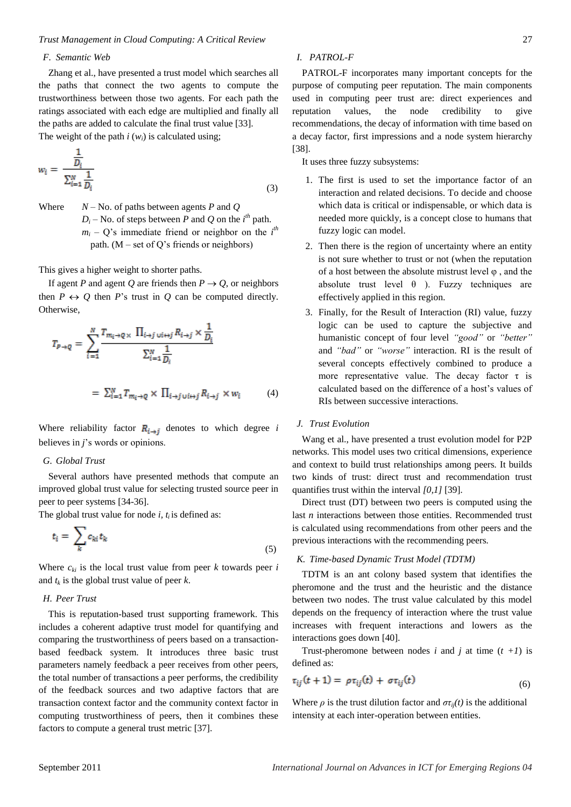# *F. Semantic Web*

Zhang et al., have presented a trust model which searches all the paths that connect the two agents to compute the trustworthiness between those two agents. For each path the ratings associated with each edge are multiplied and finally all the paths are added to calculate the final trust value [33].

The weight of the path  $i(w_i)$  is calculated using;

$$
w_i = \frac{\frac{1}{D_i}}{\sum_{i=1}^{N} \frac{1}{D_i}}
$$
\n(3)

Where *N* – No. of paths between agents *P* and *Q*  $D_i$  – No. of steps between *P* and *Q* on the *i*<sup>th</sup> path.  $m_i - Q$ 's immediate friend or neighbor on the *i*<sup>th</sup> path.  $(M - set of Q's friends or neighbors)$ 

This gives a higher weight to shorter paths.

If agent *P* and agent *Q* are friends then  $P \rightarrow Q$ , or neighbors then  $P \leftrightarrow Q$  then  $P$ 's trust in  $Q$  can be computed directly. Otherwise,

$$
T_{P\rightarrow Q} = \sum_{i=1}^{N} \frac{T_{m_i \rightarrow Q \times} \prod_{i \rightarrow j} \cup i \leftrightarrow j} R_{i \rightarrow j} \times \frac{1}{D_i}
$$

$$
= \sum_{i=1}^{N} T_{m_i \rightarrow Q} \times \prod_{i \rightarrow j} \cup i \leftrightarrow j} R_{i \rightarrow j} \times w_i \tag{4}
$$

Where reliability factor  $R_{i\rightarrow i}$  denotes to which degree *i* believes in *j*'s words or opinions.

## *G. Global Trust*

Several authors have presented methods that compute an improved global trust value for selecting trusted source peer in peer to peer systems [34-36].

The global trust value for node  $i$ ,  $t_i$  is defined as:

$$
t_i = \sum_k c_{ki} t_k \tag{5}
$$

Where  $c_{ki}$  is the local trust value from peer *k* towards peer *i* and  $t_k$  is the global trust value of peer  $k$ .

## *H. Peer Trust*

This is reputation-based trust supporting framework. This includes a coherent adaptive trust model for quantifying and comparing the trustworthiness of peers based on a transactionbased feedback system. It introduces three basic trust parameters namely feedback a peer receives from other peers, the total number of transactions a peer performs, the credibility of the feedback sources and two adaptive factors that are transaction context factor and the community context factor in computing trustworthiness of peers, then it combines these factors to compute a general trust metric [37].

# *I. PATROL-F*

PATROL-F incorporates many important concepts for the purpose of computing peer reputation. The main components used in computing peer trust are: direct experiences and reputation values, the node credibility to give recommendations, the decay of information with time based on a decay factor, first impressions and a node system hierarchy [38].

It uses three fuzzy subsystems:

- 1. The first is used to set the importance factor of an interaction and related decisions. To decide and choose which data is critical or indispensable, or which data is needed more quickly, is a concept close to humans that fuzzy logic can model.
- 2. Then there is the region of uncertainty where an entity is not sure whether to trust or not (when the reputation of a host between the absolute mistrust level φ , and the absolute trust level  $\theta$  ). Fuzzy techniques are effectively applied in this region.
- 3. Finally, for the Result of Interaction (RI) value, fuzzy logic can be used to capture the subjective and humanistic concept of four level *"good"* or *"better"* and *"bad"* or *"worse"* interaction. RI is the result of several concepts effectively combined to produce a more representative value. The decay factor  $\tau$  is calculated based on the difference of a host's values of RIs between successive interactions.

#### *J. Trust Evolution*

Wang et al., have presented a trust evolution model for P2P networks. This model uses two critical dimensions, experience and context to build trust relationships among peers. It builds two kinds of trust: direct trust and recommendation trust quantifies trust within the interval *[0,1]* [39].

Direct trust (DT) between two peers is computed using the last *n* interactions between those entities. Recommended trust is calculated using recommendations from other peers and the previous interactions with the recommending peers.

## *K. Time-based Dynamic Trust Model (TDTM)*

TDTM is an ant colony based system that identifies the pheromone and the trust and the heuristic and the distance between two nodes. The trust value calculated by this model depends on the frequency of interaction where the trust value increases with frequent interactions and lowers as the interactions goes down [40].

Trust-pheromone between nodes *i* and *j* at time  $(t + 1)$  is defined as:

$$
\tau_{ij}(t+1) = \rho \tau_{ij}(t) + \sigma \tau_{ij}(t) \tag{6}
$$

Where  $\rho$  is the trust dilution factor and  $\sigma \tau_{ij}(t)$  is the additional intensity at each inter-operation between entities.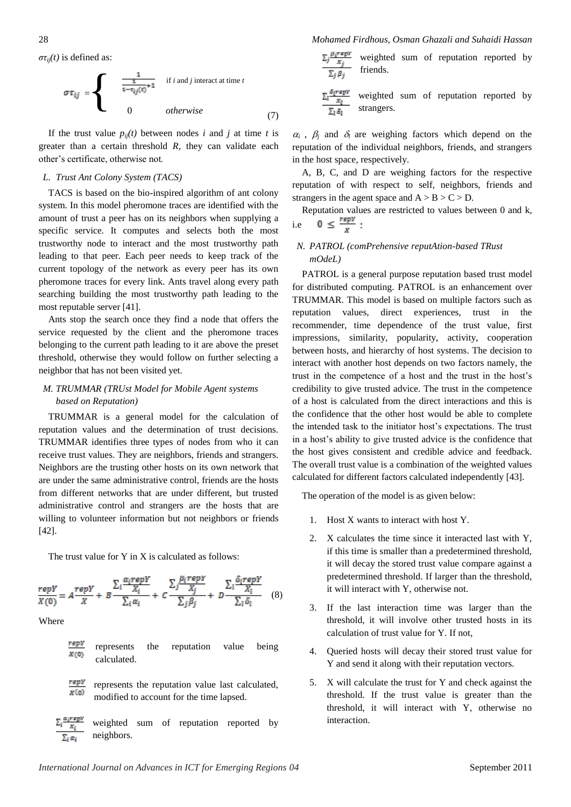$\sigma \tau_{ii}(t)$  is defined as:

$$
\sigma \tau_{ij} = \begin{cases} \frac{1}{1 - \tau_{ij}(t)} + 1 & \text{if } i \text{ and } j \text{ interact at time } t \\ 0 & \text{otherwise} \end{cases}
$$
(7)

If the trust value  $p_{ij}(t)$  between nodes *i* and *j* at time *t* is greater than a certain threshold *R*, they can validate each other's certificate, otherwise not.

## *L. Trust Ant Colony System (TACS)*

TACS is based on the bio-inspired algorithm of ant colony system. In this model pheromone traces are identified with the amount of trust a peer has on its neighbors when supplying a specific service. It computes and selects both the most trustworthy node to interact and the most trustworthy path leading to that peer. Each peer needs to keep track of the current topology of the network as every peer has its own pheromone traces for every link. Ants travel along every path searching building the most trustworthy path leading to the most reputable server [41].

Ants stop the search once they find a node that offers the service requested by the client and the pheromone traces belonging to the current path leading to it are above the preset threshold, otherwise they would follow on further selecting a neighbor that has not been visited yet.

# *M. TRUMMAR (TRUst Model for Mobile Agent systems based on Reputation)*

TRUMMAR is a general model for the calculation of reputation values and the determination of trust decisions. TRUMMAR identifies three types of nodes from who it can receive trust values. They are neighbors, friends and strangers. Neighbors are the trusting other hosts on its own network that are under the same administrative control, friends are the hosts from different networks that are under different, but trusted administrative control and strangers are the hosts that are willing to volunteer information but not neighbors or friends [42].

The trust value for Y in X is calculated as follows:

$$
\frac{repY}{X(0)} = A \frac{repY}{X} + B \frac{\sum_{i} \frac{\alpha_i repY}{X_i}}{\sum_{i} \alpha_i} + C \frac{\sum_{j} \frac{\beta_i repY}{X_j}}{\sum_{j} \beta_j} + D \frac{\sum_{i} \frac{\delta_i repY}{X_i}}{\sum_{i} \delta_i} \tag{8}
$$

Where

- repy represents the reputation value being  $X(0)$ calculated.
- repY represents the reputation value last calculated,  $X(0)$ modified to account for the time lapsed.
- $\Sigma_i \frac{\alpha_i \text{repY}}{x_i}$ weighted sum of reputation reported by neighbors.

weighted sum of reputation reported by friends.

weighted sum of reputation reported by strangers.

 $\alpha_i$ ,  $\beta_i$  and  $\delta_i$  are weighing factors which depend on the reputation of the individual neighbors, friends, and strangers in the host space, respectively.

A, B, C, and D are weighing factors for the respective reputation of with respect to self, neighbors, friends and strangers in the agent space and  $A > B > C > D$ .

Reputation values are restricted to values between 0 and k,  $0 \leq \frac{repr}{r}$ : i.e

# *N. PATROL (comPrehensive reputAtion-based TRust mOdeL)*

PATROL is a general purpose reputation based trust model for distributed computing. PATROL is an enhancement over TRUMMAR. This model is based on multiple factors such as reputation values, direct experiences, trust in the recommender, time dependence of the trust value, first impressions, similarity, popularity, activity, cooperation between hosts, and hierarchy of host systems. The decision to interact with another host depends on two factors namely, the trust in the competence of a host and the trust in the host's credibility to give trusted advice. The trust in the competence of a host is calculated from the direct interactions and this is the confidence that the other host would be able to complete the intended task to the initiator host's expectations. The trust in a host's ability to give trusted advice is the confidence that the host gives consistent and credible advice and feedback. The overall trust value is a combination of the weighted values calculated for different factors calculated independently [43].

The operation of the model is as given below:

- 1. Host X wants to interact with host Y.
- 2. X calculates the time since it interacted last with Y, if this time is smaller than a predetermined threshold, it will decay the stored trust value compare against a predetermined threshold. If larger than the threshold, it will interact with Y, otherwise not.
- 3. If the last interaction time was larger than the threshold, it will involve other trusted hosts in its calculation of trust value for Y. If not,
- 4. Queried hosts will decay their stored trust value for Y and send it along with their reputation vectors.
- 5. X will calculate the trust for Y and check against the threshold. If the trust value is greater than the threshold, it will interact with Y, otherwise no interaction.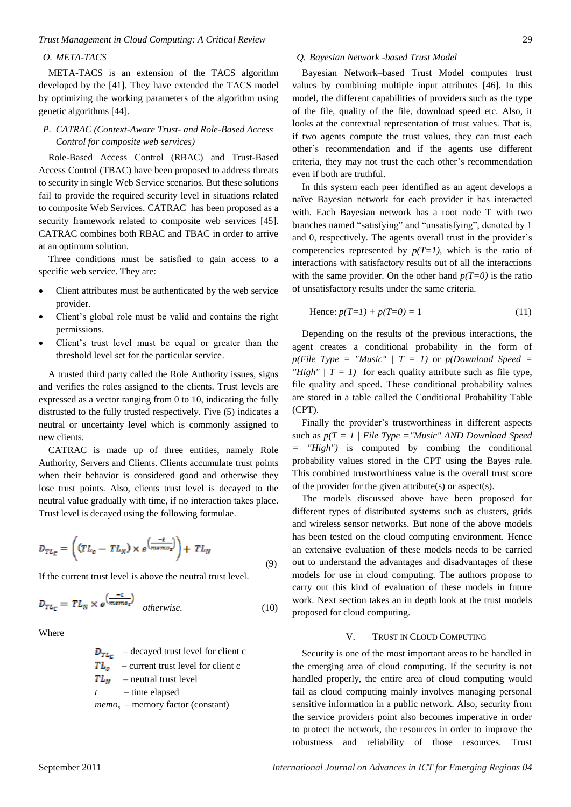# *O. META-TACS*

META-TACS is an extension of the TACS algorithm developed by the [41]. They have extended the TACS model by optimizing the working parameters of the algorithm using genetic algorithms [44].

# *P. CATRAC (Context-Aware Trust- and Role-Based Access Control for composite web services)*

Role-Based Access Control (RBAC) and Trust-Based Access Control (TBAC) have been proposed to address threats to security in single Web Service scenarios. But these solutions fail to provide the required security level in situations related to composite Web Services. CATRAC has been proposed as a security framework related to composite web services [45]. CATRAC combines both RBAC and TBAC in order to arrive at an optimum solution.

Three conditions must be satisfied to gain access to a specific web service. They are:

- Client attributes must be authenticated by the web service provider.
- Client's global role must be valid and contains the right permissions.
- Client's trust level must be equal or greater than the threshold level set for the particular service.

A trusted third party called the Role Authority issues, signs and verifies the roles assigned to the clients. Trust levels are expressed as a vector ranging from 0 to 10, indicating the fully distrusted to the fully trusted respectively. Five (5) indicates a neutral or uncertainty level which is commonly assigned to new clients.

CATRAC is made up of three entities, namely Role Authority, Servers and Clients. Clients accumulate trust points when their behavior is considered good and otherwise they lose trust points. Also, clients trust level is decayed to the neutral value gradually with time, if no interaction takes place. Trust level is decayed using the following formulae.

$$
D_{TL_C} = \left( (TL_c - TL_N) \times e^{\left(\frac{-t}{m \epsilon m o_s}\right)} \right) + TL_N
$$
\n(9)

If the current trust level is above the neutral trust level.

$$
D_{TL_C} = TL_N \times e^{\left(\frac{-t}{memo_s}\right)} \quad otherwise. \tag{10}
$$

Where

$$
D_{TL_C}
$$
 – decayed trust level for client c  
\n
$$
TL_c
$$
 – current trust level for client c  
\n
$$
TL_N
$$
 – neutral trust level  
\n
$$
t
$$
 – time elapsed  
\n*memo<sub>s</sub>* – memory factor (constant)

## *Q. Bayesian Network -based Trust Model*

Bayesian Network–based Trust Model computes trust values by combining multiple input attributes [46]. In this model, the different capabilities of providers such as the type of the file, quality of the file, download speed etc. Also, it looks at the contextual representation of trust values. That is, if two agents compute the trust values, they can trust each other's recommendation and if the agents use different criteria, they may not trust the each other's recommendation even if both are truthful.

In this system each peer identified as an agent develops a naïve Bayesian network for each provider it has interacted with. Each Bayesian network has a root node T with two branches named "satisfying" and "unsatisfying", denoted by 1 and 0, respectively. The agents overall trust in the provider's competencies represented by  $p(T=1)$ , which is the ratio of interactions with satisfactory results out of all the interactions with the same provider. On the other hand  $p(T=0)$  is the ratio of unsatisfactory results under the same criteria.

Hence: 
$$
p(T=1) + p(T=0) = 1
$$
 (11)

Depending on the results of the previous interactions, the agent creates a conditional probability in the form of *p*(*File Type* = "*Music*" /  $T = 1$ ) or *p*(*Download Speed* = *"High"*  $/T = 1$ ) for each quality attribute such as file type, file quality and speed. These conditional probability values are stored in a table called the Conditional Probability Table (CPT).

Finally the provider's trustworthiness in different aspects such as *p(T = 1 | File Type ="Music" AND Download Speed = "High")* is computed by combing the conditional probability values stored in the CPT using the Bayes rule. This combined trustworthiness value is the overall trust score of the provider for the given attribute(s) or aspect(s).

The models discussed above have been proposed for different types of distributed systems such as clusters, grids and wireless sensor networks. But none of the above models has been tested on the cloud computing environment. Hence an extensive evaluation of these models needs to be carried out to understand the advantages and disadvantages of these models for use in cloud computing. The authors propose to carry out this kind of evaluation of these models in future work. Next section takes an in depth look at the trust models proposed for cloud computing.

#### V. TRUST IN CLOUD COMPUTING

Security is one of the most important areas to be handled in the emerging area of cloud computing. If the security is not handled properly, the entire area of cloud computing would fail as cloud computing mainly involves managing personal sensitive information in a public network. Also, security from the service providers point also becomes imperative in order to protect the network, the resources in order to improve the robustness and reliability of those resources. Trust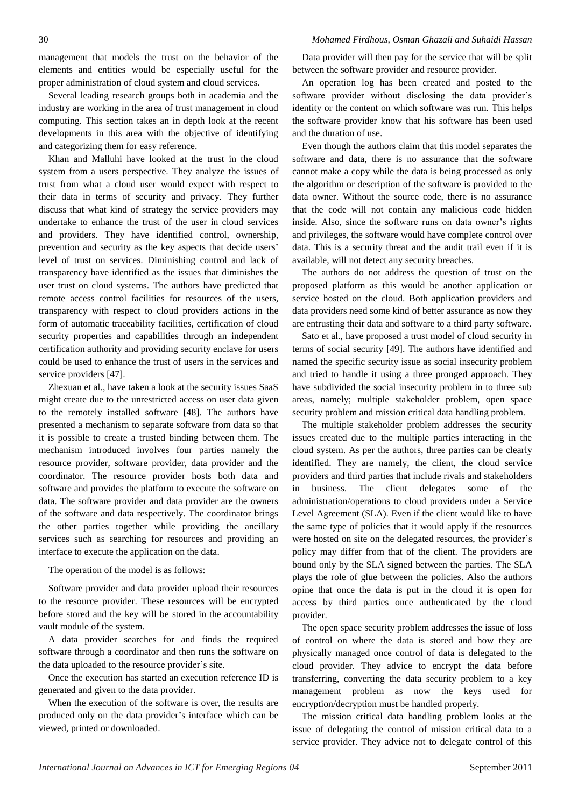## 30 *Mohamed Firdhous, Osman Ghazali and Suhaidi Hassan*

management that models the trust on the behavior of the elements and entities would be especially useful for the proper administration of cloud system and cloud services.

Several leading research groups both in academia and the industry are working in the area of trust management in cloud computing. This section takes an in depth look at the recent developments in this area with the objective of identifying and categorizing them for easy reference.

Khan and Malluhi have looked at the trust in the cloud system from a users perspective. They analyze the issues of trust from what a cloud user would expect with respect to their data in terms of security and privacy. They further discuss that what kind of strategy the service providers may undertake to enhance the trust of the user in cloud services and providers. They have identified control, ownership, prevention and security as the key aspects that decide users' level of trust on services. Diminishing control and lack of transparency have identified as the issues that diminishes the user trust on cloud systems. The authors have predicted that remote access control facilities for resources of the users, transparency with respect to cloud providers actions in the form of automatic traceability facilities, certification of cloud security properties and capabilities through an independent certification authority and providing security enclave for users could be used to enhance the trust of users in the services and service providers [47].

Zhexuan et al., have taken a look at the security issues SaaS might create due to the unrestricted access on user data given to the remotely installed software [48]. The authors have presented a mechanism to separate software from data so that it is possible to create a trusted binding between them. The mechanism introduced involves four parties namely the resource provider, software provider, data provider and the coordinator. The resource provider hosts both data and software and provides the platform to execute the software on data. The software provider and data provider are the owners of the software and data respectively. The coordinator brings the other parties together while providing the ancillary services such as searching for resources and providing an interface to execute the application on the data.

The operation of the model is as follows:

Software provider and data provider upload their resources to the resource provider. These resources will be encrypted before stored and the key will be stored in the accountability vault module of the system.

A data provider searches for and finds the required software through a coordinator and then runs the software on the data uploaded to the resource provider's site.

Once the execution has started an execution reference ID is generated and given to the data provider.

When the execution of the software is over, the results are produced only on the data provider's interface which can be viewed, printed or downloaded.

Data provider will then pay for the service that will be split between the software provider and resource provider.

An operation log has been created and posted to the software provider without disclosing the data provider's identity or the content on which software was run. This helps the software provider know that his software has been used and the duration of use.

Even though the authors claim that this model separates the software and data, there is no assurance that the software cannot make a copy while the data is being processed as only the algorithm or description of the software is provided to the data owner. Without the source code, there is no assurance that the code will not contain any malicious code hidden inside. Also, since the software runs on data owner's rights and privileges, the software would have complete control over data. This is a security threat and the audit trail even if it is available, will not detect any security breaches.

The authors do not address the question of trust on the proposed platform as this would be another application or service hosted on the cloud. Both application providers and data providers need some kind of better assurance as now they are entrusting their data and software to a third party software.

Sato et al., have proposed a trust model of cloud security in terms of social security [49]. The authors have identified and named the specific security issue as social insecurity problem and tried to handle it using a three pronged approach. They have subdivided the social insecurity problem in to three sub areas, namely; multiple stakeholder problem, open space security problem and mission critical data handling problem.

The multiple stakeholder problem addresses the security issues created due to the multiple parties interacting in the cloud system. As per the authors, three parties can be clearly identified. They are namely, the client, the cloud service providers and third parties that include rivals and stakeholders in business. The client delegates some of the administration/operations to cloud providers under a Service Level Agreement (SLA). Even if the client would like to have the same type of policies that it would apply if the resources were hosted on site on the delegated resources, the provider's policy may differ from that of the client. The providers are bound only by the SLA signed between the parties. The SLA plays the role of glue between the policies. Also the authors opine that once the data is put in the cloud it is open for access by third parties once authenticated by the cloud provider.

The open space security problem addresses the issue of loss of control on where the data is stored and how they are physically managed once control of data is delegated to the cloud provider. They advice to encrypt the data before transferring, converting the data security problem to a key management problem as now the keys used for encryption/decryption must be handled properly.

The mission critical data handling problem looks at the issue of delegating the control of mission critical data to a service provider. They advice not to delegate control of this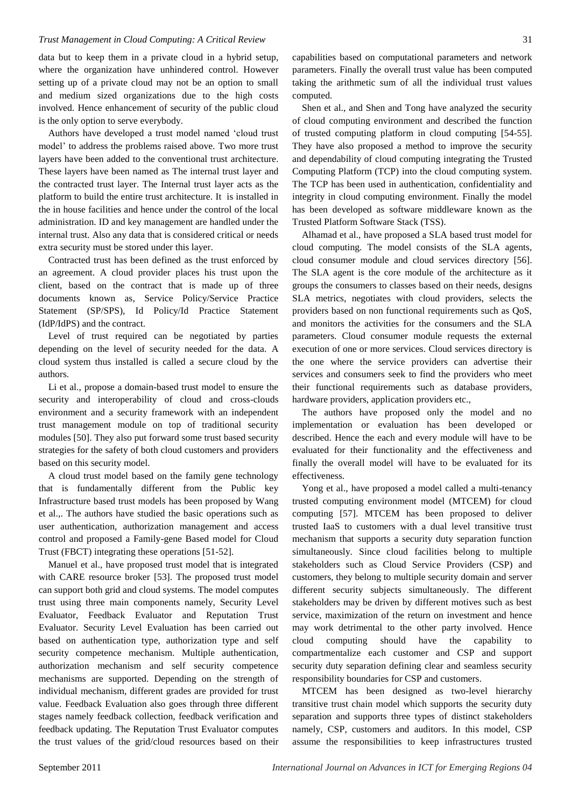data but to keep them in a private cloud in a hybrid setup, where the organization have unhindered control. However setting up of a private cloud may not be an option to small and medium sized organizations due to the high costs involved. Hence enhancement of security of the public cloud is the only option to serve everybody.

Authors have developed a trust model named 'cloud trust model' to address the problems raised above. Two more trust layers have been added to the conventional trust architecture. These layers have been named as The internal trust layer and the contracted trust layer. The Internal trust layer acts as the platform to build the entire trust architecture. It is installed in the in house facilities and hence under the control of the local administration. ID and key management are handled under the internal trust. Also any data that is considered critical or needs extra security must be stored under this layer.

Contracted trust has been defined as the trust enforced by an agreement. A cloud provider places his trust upon the client, based on the contract that is made up of three documents known as, Service Policy/Service Practice Statement (SP/SPS), Id Policy/Id Practice Statement (IdP/IdPS) and the contract.

Level of trust required can be negotiated by parties depending on the level of security needed for the data. A cloud system thus installed is called a secure cloud by the authors.

Li et al., propose a domain-based trust model to ensure the security and interoperability of cloud and cross-clouds environment and a security framework with an independent trust management module on top of traditional security modules [50]. They also put forward some trust based security strategies for the safety of both cloud customers and providers based on this security model.

A cloud trust model based on the family gene technology that is fundamentally different from the Public key Infrastructure based trust models has been proposed by Wang et al.,. The authors have studied the basic operations such as user authentication, authorization management and access control and proposed a Family-gene Based model for Cloud Trust (FBCT) integrating these operations [51-52].

Manuel et al., have proposed trust model that is integrated with CARE resource broker [53]. The proposed trust model can support both grid and cloud systems. The model computes trust using three main components namely, Security Level Evaluator, Feedback Evaluator and Reputation Trust Evaluator. Security Level Evaluation has been carried out based on authentication type, authorization type and self security competence mechanism. Multiple authentication, authorization mechanism and self security competence mechanisms are supported. Depending on the strength of individual mechanism, different grades are provided for trust value. Feedback Evaluation also goes through three different stages namely feedback collection, feedback verification and feedback updating. The Reputation Trust Evaluator computes the trust values of the grid/cloud resources based on their capabilities based on computational parameters and network parameters. Finally the overall trust value has been computed taking the arithmetic sum of all the individual trust values computed.

Shen et al., and Shen and Tong have analyzed the security of cloud computing environment and described the function of trusted computing platform in cloud computing [54-55]. They have also proposed a method to improve the security and dependability of cloud computing integrating the Trusted Computing Platform (TCP) into the cloud computing system. The TCP has been used in authentication, confidentiality and integrity in cloud computing environment. Finally the model has been developed as software middleware known as the Trusted Platform Software Stack (TSS).

Alhamad et al., have proposed a SLA based trust model for cloud computing. The model consists of the SLA agents, cloud consumer module and cloud services directory [56]. The SLA agent is the core module of the architecture as it groups the consumers to classes based on their needs, designs SLA metrics, negotiates with cloud providers, selects the providers based on non functional requirements such as QoS, and monitors the activities for the consumers and the SLA parameters. Cloud consumer module requests the external execution of one or more services. Cloud services directory is the one where the service providers can advertise their services and consumers seek to find the providers who meet their functional requirements such as database providers, hardware providers, application providers etc.,

The authors have proposed only the model and no implementation or evaluation has been developed or described. Hence the each and every module will have to be evaluated for their functionality and the effectiveness and finally the overall model will have to be evaluated for its effectiveness.

Yong et al., have proposed a model called a multi-tenancy trusted computing environment model (MTCEM) for cloud computing [57]. MTCEM has been proposed to deliver trusted IaaS to customers with a dual level transitive trust mechanism that supports a security duty separation function simultaneously. Since cloud facilities belong to multiple stakeholders such as Cloud Service Providers (CSP) and customers, they belong to multiple security domain and server different security subjects simultaneously. The different stakeholders may be driven by different motives such as best service, maximization of the return on investment and hence may work detrimental to the other party involved. Hence cloud computing should have the capability to compartmentalize each customer and CSP and support security duty separation defining clear and seamless security responsibility boundaries for CSP and customers.

MTCEM has been designed as two-level hierarchy transitive trust chain model which supports the security duty separation and supports three types of distinct stakeholders namely, CSP, customers and auditors. In this model, CSP assume the responsibilities to keep infrastructures trusted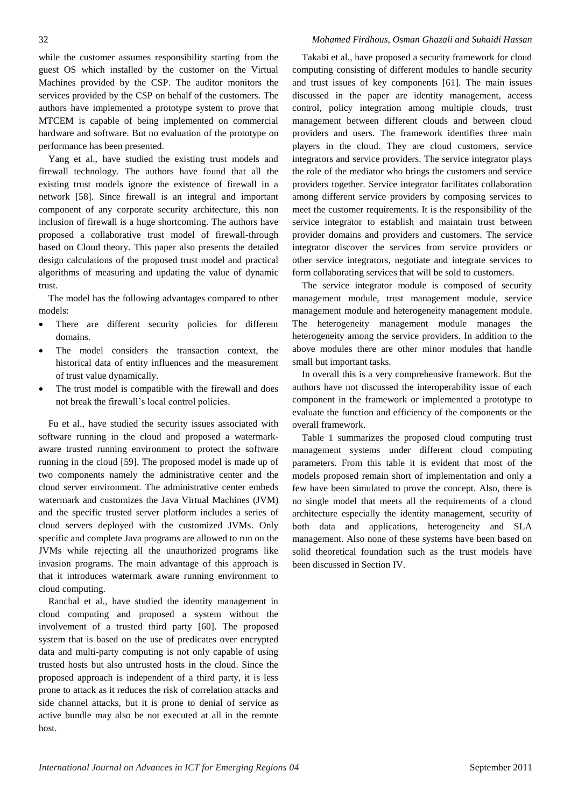while the customer assumes responsibility starting from the guest OS which installed by the customer on the Virtual Machines provided by the CSP. The auditor monitors the services provided by the CSP on behalf of the customers. The authors have implemented a prototype system to prove that MTCEM is capable of being implemented on commercial hardware and software. But no evaluation of the prototype on performance has been presented.

Yang et al., have studied the existing trust models and firewall technology. The authors have found that all the existing trust models ignore the existence of firewall in a network [58]. Since firewall is an integral and important component of any corporate security architecture, this non inclusion of firewall is a huge shortcoming. The authors have proposed a collaborative trust model of firewall-through based on Cloud theory. This paper also presents the detailed design calculations of the proposed trust model and practical algorithms of measuring and updating the value of dynamic trust.

The model has the following advantages compared to other models:

- There are different security policies for different domains.
- The model considers the transaction context, the historical data of entity influences and the measurement of trust value dynamically.
- The trust model is compatible with the firewall and does not break the firewall's local control policies.

Fu et al., have studied the security issues associated with software running in the cloud and proposed a watermarkaware trusted running environment to protect the software running in the cloud [59]. The proposed model is made up of two components namely the administrative center and the cloud server environment. The administrative center embeds watermark and customizes the Java Virtual Machines (JVM) and the specific trusted server platform includes a series of cloud servers deployed with the customized JVMs. Only specific and complete Java programs are allowed to run on the JVMs while rejecting all the unauthorized programs like invasion programs. The main advantage of this approach is that it introduces watermark aware running environment to cloud computing.

Ranchal et al., have studied the identity management in cloud computing and proposed a system without the involvement of a trusted third party [60]. The proposed system that is based on the use of predicates over encrypted data and multi-party computing is not only capable of using trusted hosts but also untrusted hosts in the cloud. Since the proposed approach is independent of a third party, it is less prone to attack as it reduces the risk of correlation attacks and side channel attacks, but it is prone to denial of service as active bundle may also be not executed at all in the remote host.

# 32 *Mohamed Firdhous, Osman Ghazali and Suhaidi Hassan*

Takabi et al., have proposed a security framework for cloud computing consisting of different modules to handle security and trust issues of key components [61]. The main issues discussed in the paper are identity management, access control, policy integration among multiple clouds, trust management between different clouds and between cloud providers and users. The framework identifies three main players in the cloud. They are cloud customers, service integrators and service providers. The service integrator plays the role of the mediator who brings the customers and service providers together. Service integrator facilitates collaboration among different service providers by composing services to meet the customer requirements. It is the responsibility of the service integrator to establish and maintain trust between provider domains and providers and customers. The service integrator discover the services from service providers or other service integrators, negotiate and integrate services to form collaborating services that will be sold to customers.

The service integrator module is composed of security management module, trust management module, service management module and heterogeneity management module. The heterogeneity management module manages the heterogeneity among the service providers. In addition to the above modules there are other minor modules that handle small but important tasks.

In overall this is a very comprehensive framework. But the authors have not discussed the interoperability issue of each component in the framework or implemented a prototype to evaluate the function and efficiency of the components or the overall framework.

Table 1 summarizes the proposed cloud computing trust management systems under different cloud computing parameters. From this table it is evident that most of the models proposed remain short of implementation and only a few have been simulated to prove the concept. Also, there is no single model that meets all the requirements of a cloud architecture especially the identity management, security of both data and applications, heterogeneity and SLA management. Also none of these systems have been based on solid theoretical foundation such as the trust models have been discussed in Section IV.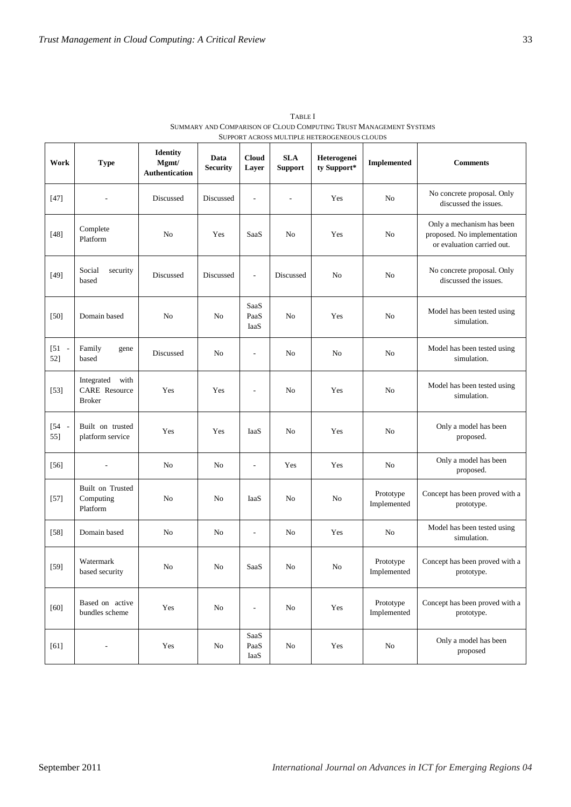| Work           | <b>Type</b>                                                 | <b>Identity</b><br>Mgmt/<br><b>Authentication</b> | Data<br>Security | <b>Cloud</b><br>Layer        | <b>SLA</b><br><b>Support</b> | Heterogenei<br>ty Support* | <b>Implemented</b>       | <b>Comments</b>                                                                        |
|----------------|-------------------------------------------------------------|---------------------------------------------------|------------------|------------------------------|------------------------------|----------------------------|--------------------------|----------------------------------------------------------------------------------------|
| $[47]$         | ÷,                                                          | Discussed                                         | Discussed        | $\overline{\phantom{a}}$     | ÷,                           | Yes                        | No                       | No concrete proposal. Only<br>discussed the issues.                                    |
| $[48]$         | Complete<br>Platform                                        | No                                                | Yes              | SaaS                         | No                           | Yes                        | No                       | Only a mechanism has been<br>proposed. No implementation<br>or evaluation carried out. |
| $[49]$         | Social<br>security<br>based                                 | Discussed                                         | Discussed        | $\overline{a}$               | Discussed                    | No                         | No                       | No concrete proposal. Only<br>discussed the issues.                                    |
| $[50]$         | Domain based                                                | N <sub>o</sub>                                    | No               | SaaS<br>PaaS<br>IaaS         | N <sub>o</sub>               | Yes                        | No                       | Model has been tested using<br>simulation.                                             |
| $[51 -$<br>52] | Family<br>gene<br>based                                     | Discussed                                         | No               | $\overline{a}$               | No                           | No                         | No                       | Model has been tested using<br>simulation.                                             |
| $[53]$         | Integrated<br>with<br><b>CARE</b> Resource<br><b>Broker</b> | Yes                                               | Yes              | $\overline{a}$               | No                           | Yes                        | No                       | Model has been tested using<br>simulation.                                             |
| $[54 -$<br>55] | Built on trusted<br>platform service                        | Yes                                               | Yes              | IaaS                         | No                           | Yes                        | No                       | Only a model has been<br>proposed.                                                     |
| $[56]$         |                                                             | No                                                | No               | $\overline{a}$               | Yes                          | Yes                        | No                       | Only a model has been<br>proposed.                                                     |
| $[57]$         | Built on Trusted<br>Computing<br>Platform                   | No                                                | No               | IaaS                         | No                           | No                         | Prototype<br>Implemented | Concept has been proved with a<br>prototype.                                           |
| $[58]$         | Domain based                                                | No                                                | No               | ÷,                           | No                           | Yes                        | No                       | Model has been tested using<br>simulation.                                             |
| $[59]$         | Watermark<br>based security                                 | No                                                | No               | SaaS                         | No                           | No                         | Prototype<br>Implemented | Concept has been proved with a<br>prototype.                                           |
| [60]           | Based on active<br>bundles scheme                           | Yes                                               | $\rm No$         | $\qquad \qquad \blacksquare$ | $\rm No$                     | Yes                        | Prototype<br>Implemented | Concept has been proved with a<br>prototype.                                           |
| $[61]$         |                                                             | Yes                                               | No               | SaaS<br>PaaS<br>IaaS         | $\rm No$                     | Yes                        | No                       | Only a model has been<br>proposed                                                      |

TABLE I SUMMARY AND COMPARISON OF CLOUD COMPUTING TRUST MANAGEMENT SYSTEMS SUPPORT ACROSS MULTIPLE HETEROGENEOUS CLOUDS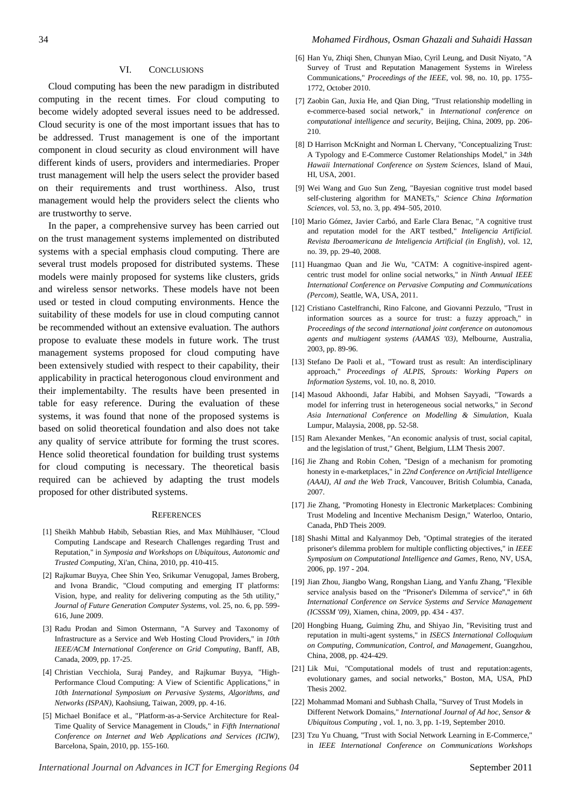## VI. CONCLUSIONS

Cloud computing has been the new paradigm in distributed computing in the recent times. For cloud computing to become widely adopted several issues need to be addressed. Cloud security is one of the most important issues that has to be addressed. Trust management is one of the important component in cloud security as cloud environment will have different kinds of users, providers and intermediaries. Proper trust management will help the users select the provider based on their requirements and trust worthiness. Also, trust management would help the providers select the clients who are trustworthy to serve.

In the paper, a comprehensive survey has been carried out on the trust management systems implemented on distributed systems with a special emphasis cloud computing. There are several trust models proposed for distributed systems. These models were mainly proposed for systems like clusters, grids and wireless sensor networks. These models have not been used or tested in cloud computing environments. Hence the suitability of these models for use in cloud computing cannot be recommended without an extensive evaluation. The authors propose to evaluate these models in future work. The trust management systems proposed for cloud computing have been extensively studied with respect to their capability, their applicability in practical heterogonous cloud environment and their implementabilty. The results have been presented in table for easy reference. During the evaluation of these systems, it was found that none of the proposed systems is based on solid theoretical foundation and also does not take any quality of service attribute for forming the trust scores. Hence solid theoretical foundation for building trust systems for cloud computing is necessary. The theoretical basis required can be achieved by adapting the trust models proposed for other distributed systems.

#### **REFERENCES**

- [1] Sheikh Mahbub Habib, Sebastian Ries, and Max Mühlhäuser, "Cloud Computing Landscape and Research Challenges regarding Trust and Reputation," in *Symposia and Workshops on Ubiquitous, Autonomic and Trusted Computing*, Xi'an, China, 2010, pp. 410-415.
- [2] Rajkumar Buyya, Chee Shin Yeo, Srikumar Venugopal, James Broberg, and Ivona Brandic, "Cloud computing and emerging IT platforms: Vision, hype, and reality for delivering computing as the 5th utility," *Journal of Future Generation Computer Systems*, vol. 25, no. 6, pp. 599- 616, June 2009.
- [3] Radu Prodan and Simon Ostermann, "A Survey and Taxonomy of Infrastructure as a Service and Web Hosting Cloud Providers," in *10th IEEE/ACM International Conference on Grid Computing*, Banff, AB, Canada, 2009, pp. 17-25.
- [4] Christian Vecchiola, Suraj Pandey, and Rajkumar Buyya, "High-Performance Cloud Computing: A View of Scientific Applications," in *10th International Symposium on Pervasive Systems, Algorithms, and Networks (ISPAN)*, Kaohsiung, Taiwan, 2009, pp. 4-16.
- [5] Michael Boniface et al., "Platform-as-a-Service Architecture for Real-Time Quality of Service Management in Clouds," in *Fifth International Conference on Internet and Web Applications and Services (ICIW)*, Barcelona, Spain, 2010, pp. 155-160.
- [6] Han Yu, Zhiqi Shen, Chunyan Miao, Cyril Leung, and Dusit Niyato, "A Survey of Trust and Reputation Management Systems in Wireless Communications," *Proceedings of the IEEE*, vol. 98, no. 10, pp. 1755- 1772, October 2010.
- [7] Zaobin Gan, Juxia He, and Qian Ding, "Trust relationship modelling in e-commerce-based social network," in *International conference on computational intelligence and security*, Beijing, China, 2009, pp. 206- 210.
- [8] D Harrison McKnight and Norman L Chervany, "Conceptualizing Trust: A Typology and E-Commerce Customer Relationships Model," in *34th Hawaii International Conference on System Sciences*, Island of Maui, HI, USA, 2001.
- [9] Wei Wang and Guo Sun Zeng, "Bayesian cognitive trust model based self-clustering algorithm for MANETs," *Science China Information Sciences*, vol. 53, no. 3, pp. 494–505, 2010.
- [10] Mario Gómez, Javier Carbó, and Earle Clara Benac, "A cognitive trust and reputation model for the ART testbed," *Inteligencia Artificial. Revista Iberoamericana de Inteligencia Artificial (in English)*, vol. 12, no. 39, pp. 29-40, 2008.
- [11] Huangmao Quan and Jie Wu, "CATM: A cognitive-inspired agentcentric trust model for online social networks," in *Ninth Annual IEEE International Conference on Pervasive Computing and Communications (Percom)*, Seattle, WA, USA, 2011.
- [12] Cristiano Castelfranchi, Rino Falcone, and Giovanni Pezzulo, "Trust in information sources as a source for trust: a fuzzy approach," in *Proceedings of the second international joint conference on autonomous agents and multiagent systems (AAMAS '03)*, Melbourne, Australia, 2003, pp. 89-96.
- [13] Stefano De Paoli et al., "Toward trust as result: An interdisciplinary approach," *Proceedings of ALPIS, Sprouts: Working Papers on Information Systems*, vol. 10, no. 8, 2010.
- [14] Masoud Akhoondi, Jafar Habibi, and Mohsen Sayyadi, "Towards a model for inferring trust in heterogeneous social networks," in *Second Asia International Conference on Modelling & Simulation*, Kuala Lumpur, Malaysia, 2008, pp. 52-58.
- [15] Ram Alexander Menkes, "An economic analysis of trust, social capital, and the legislation of trust," Ghent, Belgium, LLM Thesis 2007.
- [16] Jie Zhang and Robin Cohen, "Design of a mechanism for promoting honesty in e-marketplaces," in *22nd Conference on Artificial Intelligence (AAAI), AI and the Web Track*, Vancouver, British Columbia, Canada, 2007.
- [17] Jie Zhang, "Promoting Honesty in Electronic Marketplaces: Combining Trust Modeling and Incentive Mechanism Design," Waterloo, Ontario, Canada, PhD Theis 2009.
- [18] Shashi Mittal and Kalyanmoy Deb, "Optimal strategies of the iterated prisoner's dilemma problem for multiple conflicting objectives," in *IEEE Symposium on Computational Intelligence and Games*, Reno, NV, USA, 2006, pp. 197 - 204.
- [19] Jian Zhou, Jiangbo Wang, Rongshan Liang, and Yanfu Zhang, "Flexible service analysis based on the "Prisoner's Dilemma of service"," in *6th International Conference on Service Systems and Service Management (ICSSSM '09)*, Xiamen, china, 2009, pp. 434 - 437.
- [20] Hongbing Huang, Guiming Zhu, and Shiyao Jin, "Revisiting trust and reputation in multi-agent systems," in *ISECS International Colloquium on Computing, Communication, Control, and Management*, Guangzhou, China, 2008, pp. 424-429.
- [21] Lik Mui, "Computational models of trust and reputation:agents, evolutionary games, and social networks," Boston, MA, USA, PhD Thesis 2002.
- [22] Mohammad Momani and Subhash Challa, "Survey of Trust Models in Different Network Domains," *International Journal of Ad hoc, Sensor & Ubiquitous Computing* , vol. 1, no. 3, pp. 1-19, September 2010.
- [23] Tzu Yu Chuang, "Trust with Social Network Learning in E-Commerce," in *IEEE International Conference on Communications Workshops*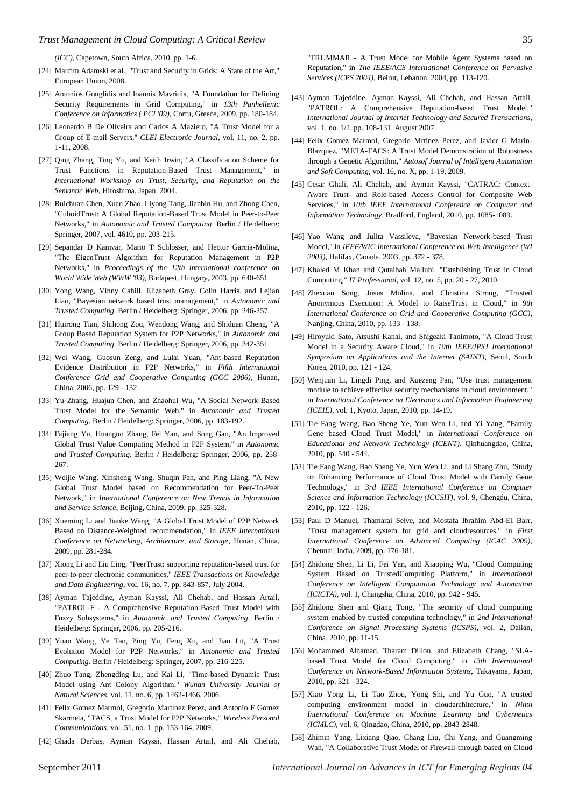*(ICC)*, Capetown, South Africa, 2010, pp. 1-6.

- [24] Marcim Adamski et al., "Trust and Security in Grids: A State of the Art," European Union, 2008.
- [25] Antonios Gouglidis and Ioannis Mavridis, "A Foundation for Defining Security Requirements in Grid Computing," in *13th Panhellenic Conference on Informatics ( PCI '09)*, Corfu, Greece, 2009, pp. 180-184.
- [26] Leonardo B De Oliveira and Carlos A Maziero, "A Trust Model for a Group of E-mail Servers," *CLEI Electronic Journal*, vol. 11, no. 2, pp. 1-11, 2008.
- [27] Qing Zhang, Ting Yu, and Keith Irwin, "A Classification Scheme for Trust Functions in Reputation-Based Trust Management," in *International Workshop on Trust, Security, and Reputation on the Semantic Web*, Hiroshima, Japan, 2004.
- [28] Ruichuan Chen, Xuan Zhao, Liyong Tang, Jianbin Hu, and Zhong Chen, "CuboidTrust: A Global Reputation-Based Trust Model in Peer-to-Peer Networks," in *Autonomic and Trusted Computing*. Berlin / Heidelberg: Springer, 2007, vol. 4610, pp. 203-215.
- [29] Sepandar D Kamvar, Mario T Schlosser, and Hector Garcia-Molina, "The EigenTrust Algorithm for Reputation Management in P2P Networks," in *Proceedings of the 12th international conference on World Wide Web (WWW '03)*, Budapest, Hungary, 2003, pp. 640-651.
- [30] Yong Wang, Vinny Cahill, Elizabeth Gray, Colin Harris, and Lejian Liao, "Bayesian network based trust management," in *Autonomic and Trusted Computing*. Berlin / Heidelberg: Springer, 2006, pp. 246-257.
- [31] Huirong Tian, Shihong Zou, Wendong Wang, and Shiduan Cheng, "A Group Based Reputation System for P2P Networks," in *Autonomic and Trusted Computing*. Berlin / Heidelberg: Springer, 2006, pp. 342-351.
- [32] Wei Wang, Guosun Zeng, and Lulai Yuan, "Ant-based Reputation Evidence Distribution in P2P Networks," in *Fifth International Conference Grid and Cooperative Computing (GCC 2006)*, Hunan, China, 2006, pp. 129 - 132.
- [33] Yu Zhang, Huajun Chen, and Zhaohui Wu, "A Social Network-Based Trust Model for the Semantic Web," in *Autonomic and Trusted Computing*. Berlin / Heidelberg: Springer, 2006, pp. 183-192.
- [34] Fajiang Yu, Huanguo Zhang, Fei Yan, and Song Gao, "An Improved Global Trust Value Computing Method in P2P System," in *Autonomic and Trusted Computing*. Berlin / Heidelberg: Springer, 2006, pp. 258- 267.
- [35] Weijie Wang, Xinsheng Wang, Shuqin Pan, and Ping Liang, "A New Global Trust Model based on Recommendation for Peer-To-Peer Network," in *International Conference on New Trends in Information and Service Science*, Beijing, China, 2009, pp. 325-328.
- [36] Xueming Li and Jianke Wang, "A Global Trust Model of P2P Network Based on Distance-Weighted recommendation," in *IEEE International Conference on Networking, Architecture, and Storage*, Hunan, China, 2009, pp. 281-284.
- [37] Xiong Li and Liu Ling, "PeerTrust: supporting reputation-based trust for peer-to-peer electronic communities," *IEEE Transactions on Knowledge and Data Engineering*, vol. 16, no. 7, pp. 843-857, July 2004.
- [38] Ayman Tajeddine, Ayman Kayssi, Ali Chehab, and Hassan Artail, "PATROL-F - A Comprehensive Reputation-Based Trust Model with Fuzzy Subsystems," in *Autonomic and Trusted Computing*. Berlin / Heidelberg: Springer, 2006, pp. 205-216.
- [39] Yuan Wang, Ye Tao, Ping Yu, Feng Xu, and Jian Lü, "A Trust Evolution Model for P2P Networks," in *Autonomic and Trusted Computing*. Berlin / Heidelberg: Springer, 2007, pp. 216-225.
- [40] Zhuo Tang, Zhengding Lu, and Kai Li, "Time-based Dynamic Trust Model using Ant Colony Algorithm," *Wuhan University Journal of Natural Sciences*, vol. 11, no. 6, pp. 1462-1466, 2006.
- [41] Felix Gomez Marmol, Gregorio Martinez Perez, and Antonio F Gomez Skarmeta, "TACS, a Trust Model for P2P Networks," *Wireless Personal Communications*, vol. 51, no. 1, pp. 153-164, 2009.
- [42] Ghada Derbas, Ayman Kayssi, Hassan Artail, and Ali Chehab,

"TRUMMAR - A Trust Model for Mobile Agent Systems based on Reputation," in *The IEEE/ACS International Conference on Pervasive Services (ICPS 2004)*, Beirut, Lebanon, 2004, pp. 113-120.

- [43] Ayman Tajeddine, Ayman Kayssi, Ali Chehab, and Hassan Artail, "PATROL: A Comprehensive Reputation-based Trust Model," *International Journal of Internet Technology and Secured Transactions*, vol. 1, no. 1/2, pp. 108-131, August 2007.
- [44] Felix Gomez Marmol, Gregorio Mrtinez Perez, and Javier G Marin-Blazquez, "META-TACS: A Trust Model Demonstration of Robustness through a Genetic Algorithm," *Autosof Journal of Intelligent Automation and Soft Computing*, vol. 16, no. X, pp. 1-19, 2009.
- [45] Cesar Ghali, Ali Chehab, and Ayman Kayssi, "CATRAC: Context-Aware Trust- and Role-based Access Control for Composite Web Services," in *10th IEEE International Conference on Computer and Information Technology*, Bradford, England, 2010, pp. 1085-1089.
- [46] Yao Wang and Julita Vassileva, "Bayesian Network-based Trust Model," in *IEEE/WIC International Conference on Web Intelligence (WI 2003)*, Halifax, Canada, 2003, pp. 372 - 378.
- [47] Khaled M Khan and Qutaibah Malluhi, "Establishing Trust in Cloud Computing," *IT Professional*, vol. 12, no. 5, pp. 20 - 27, 2010.
- [48] Zhexuan Song, Jusus Molina, and Christina Strong, "Trusted Anonymous Execution: A Model to RaiseTrust in Cloud," in *9th International Conference on Grid and Cooperative Computing (GCC)*, Nanjing, China, 2010, pp. 133 - 138.
- [49] Hiroyuki Sato, Atsushi Kanai, and Shigeaki Tanimoto, "A Cloud Trust Model in a Security Aware Cloud," in *10th IEEE/IPSJ International Symposium on Applications and the Internet (SAINT)*, Seoul, South Korea, 2010, pp. 121 - 124.
- [50] Wenjuan Li, Lingdi Ping, and Xuezeng Pan, "Use trust management module to achieve effective security mechanisms in cloud environment," in *International Conference on Electronics and Information Engineering (ICEIE)*, vol. 1, Kyoto, Japan, 2010, pp. 14-19.
- [51] Tie Fang Wang, Bao Sheng Ye, Yun Wen Li, and Yi Yang, "Family Gene based Cloud Trust Model," in *International Conference on Educational and Network Technology (ICENT)*, Qinhuangdao, China, 2010, pp. 540 - 544.
- [52] Tie Fang Wang, Bao Sheng Ye, Yun Wen Li, and Li Shang Zhu, "Study on Enhancing Performance of Cloud Trust Model with Family Gene Technology," in *3rd IEEE International Conference on Computer Science and Information Technology (ICCSIT)*, vol. 9, Chengdu, China, 2010, pp. 122 - 126.
- [53] Paul D Manuel, Thamarai Selve, and Mostafa Ibrahim Abd-EI Barr, "Trust management system for grid and cloudresources," in *First International Conference on Advanced Computing (ICAC 2009)*, Chennai, India, 2009, pp. 176-181.
- [54] Zhidong Shen, Li Li, Fei Yan, and Xiaoping Wu, "Cloud Computing System Based on TrustedComputing Platform," in *International Conference on Intelligent Computation Technology and Automation (ICICTA)*, vol. 1, Changsha, China, 2010, pp. 942 - 945.
- [55] Zhidong Shen and Qiang Tong, "The security of cloud computing system enabled by trusted computing technology," in *2nd International Conference on Signal Processing Systems (ICSPS)*, vol. 2, Dalian, China, 2010, pp. 11-15.
- [56] Mohammed Alhamad, Tharam Dillon, and Elizabeth Chang, "SLAbased Trust Model for Cloud Computing," in *13th International Conference on Network-Based Information Systems*, Takayama, Japan, 2010, pp. 321 - 324.
- [57] Xiao Yong Li, Li Tao Zhou, Yong Shi, and Yu Guo, "A trusted computing environment model in cloudarchitecture," in *Ninth International Conference on Machine Learning and Cybernetics (ICMLC)*, vol. 6, Qingdao, China, 2010, pp. 2843-2848.
- [58] Zhimin Yang, Lixiang Qiao, Chang Liu, Chi Yang, and Guangming Wan, "A Collaborative Trust Model of Firewall-through based on Cloud